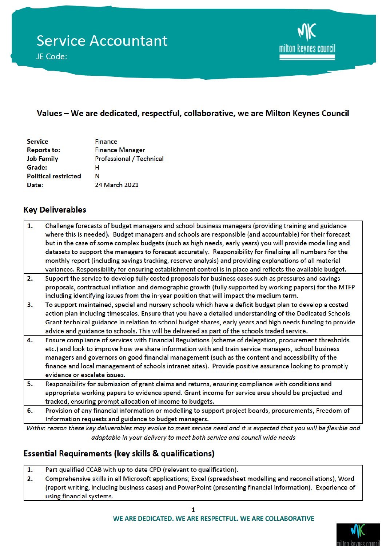

## Values - We are dedicated, respectful, collaborative, we are Milton Keynes Council

| <b>Service</b>              | <b>Finance</b>                  |
|-----------------------------|---------------------------------|
| <b>Reports to:</b>          | <b>Finance Manager</b>          |
| <b>Job Family</b>           | <b>Professional / Technical</b> |
| Grade:                      | н                               |
| <b>Political restricted</b> | N                               |
| Date:                       | 24 March 2021                   |

### **Key Deliverables**

| 1. | Challenge forecasts of budget managers and school business managers (providing training and guidance        |
|----|-------------------------------------------------------------------------------------------------------------|
|    | where this is needed). Budget managers and schools are responsible (and accountable) for their forecast     |
|    | but in the case of some complex budgets (such as high needs, early years) you will provide modelling and    |
|    | datasets to support the managers to forecast accurately. Responsibility for finalising all numbers for the  |
|    | monthly report (including savings tracking, reserve analysis) and providing explanations of all material    |
|    | variances. Responsibility for ensuring establishment control is in place and reflects the available budget. |
| 2. | Support the service to develop fully costed proposals for business cases such as pressures and savings      |
|    | proposals, contractual inflation and demographic growth (fully supported by working papers) for the MTFP    |
|    | including identifying issues from the in-year position that will impact the medium term.                    |
| 3. | To support maintained, special and nursery schools which have a deficit budget plan to develop a costed     |
|    | action plan including timescales. Ensure that you have a detailed understanding of the Dedicated Schools    |
|    | Grant technical guidance in relation to school budget shares, early years and high needs funding to provide |
|    | advice and guidance to schools. This will be delivered as part of the schools traded service.               |
| 4. | Ensure compliance of services with Financial Regulations (scheme of delegation, procurement thresholds      |
|    | etc.) and look to improve how we share information with and train service managers, school business         |
|    | managers and governors on good financial management (such as the content and accessibility of the           |
|    | finance and local management of schools intranet sites). Provide positive assurance looking to promptly     |
|    | evidence or escalate issues.                                                                                |
| 5. | Responsibility for submission of grant claims and returns, ensuring compliance with conditions and          |
|    | appropriate working papers to evidence spend. Grant income for service area should be projected and         |
|    | tracked, ensuring prompt allocation of income to budgets.                                                   |
| 6. | Provision of any financial information or modelling to support project boards, procurements, Freedom of     |
|    | Information requests and guidance to budget managers.                                                       |
|    |                                                                                                             |

Within reason these key deliverables may evolve to meet service need and it is expected that you will be flexible and adaptable in your delivery to meet both service and council wide needs

## **Essential Requirements (key skills & qualifications)**

| Part qualified CCAB with up to date CPD (relevant to qualification).                                        |
|-------------------------------------------------------------------------------------------------------------|
| Comprehensive skills in all Microsoft applications; Excel (spreadsheet modelling and reconciliations), Word |
| (report writing, including business cases) and PowerPoint (presenting financial information). Experience of |
| using financial systems.                                                                                    |

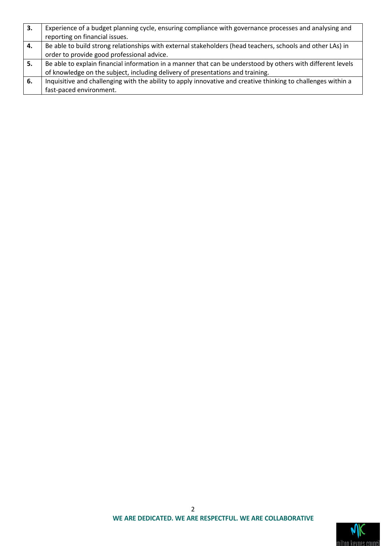| 3. | Experience of a budget planning cycle, ensuring compliance with governance processes and analysing and        |
|----|---------------------------------------------------------------------------------------------------------------|
|    | reporting on financial issues.                                                                                |
| 4. | Be able to build strong relationships with external stakeholders (head teachers, schools and other LAs) in    |
|    | order to provide good professional advice.                                                                    |
| 5. | Be able to explain financial information in a manner that can be understood by others with different levels   |
|    | of knowledge on the subject, including delivery of presentations and training.                                |
| 6. | Inquisitive and challenging with the ability to apply innovative and creative thinking to challenges within a |
|    | fast-paced environment.                                                                                       |

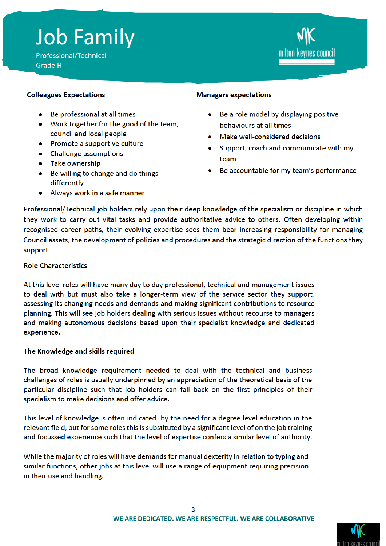# **Job Family**

Professional/Technical Grade H



#### **Colleagues Expectations**

- Be professional at all times  $\bullet$
- Work together for the good of the team, council and local people
- Promote a supportive culture
- Challenge assumptions
- Take ownership
- Be willing to change and do things differently
- Always work in a safe manner

#### **Managers expectations**

- Be a role model by displaying positive behaviours at all times
- Make well-considered decisions
- Support, coach and communicate with my team
- Be accountable for my team's performance

Professional/Technical job holders rely upon their deep knowledge of the specialism or discipline in which they work to carry out vital tasks and provide authoritative advice to others. Often developing within recognised career paths, their evolving expertise sees them bear increasing responsibility for managing Council assets, the development of policies and procedures and the strategic direction of the functions they support.

#### **Role Characteristics**

At this level roles will have many day to day professional, technical and management issues to deal with but must also take a longer-term view of the service sector they support, assessing its changing needs and demands and making significant contributions to resource planning. This will see job holders dealing with serious issues without recourse to managers and making autonomous decisions based upon their specialist knowledge and dedicated experience.

#### The Knowledge and skills required

The broad knowledge requirement needed to deal with the technical and business challenges of roles is usually underpinned by an appreciation of the theoretical basis of the particular discipline such that job holders can fall back on the first principles of their specialism to make decisions and offer advice.

This level of knowledge is often indicated by the need for a degree level education in the relevant field, but for some roles this is substituted by a significant level of on the job training and focussed experience such that the level of expertise confers a similar level of authority.

While the majority of roles will have demands for manual dexterity in relation to typing and similar functions, other jobs at this level will use a range of equipment requiring precision in their use and handling.

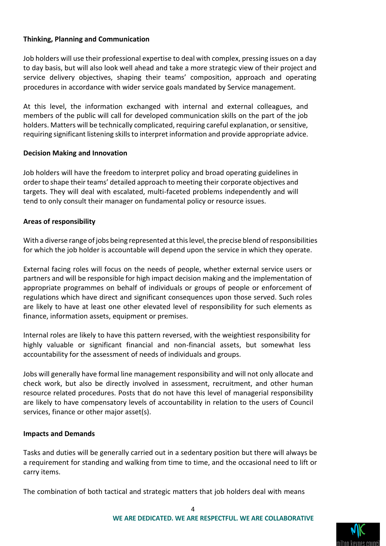#### **Thinking, Planning and Communication**

Job holders will use their professional expertise to deal with complex, pressing issues on a day to day basis, but will also look well ahead and take a more strategic view of their project and service delivery objectives, shaping their teams' composition, approach and operating procedures in accordance with wider service goals mandated by Service management.

At this level, the information exchanged with internal and external colleagues, and members of the public will call for developed communication skills on the part of the job holders. Matters will be technically complicated, requiring careful explanation, or sensitive, requiring significant listening skills to interpret information and provide appropriate advice.

#### **Decision Making and Innovation**

Job holders will have the freedom to interpret policy and broad operating guidelines in order to shape their teams' detailed approach to meeting their corporate objectives and targets. They will deal with escalated, multi-faceted problems independently and will tend to only consult their manager on fundamental policy or resource issues.

#### **Areas of responsibility**

With a diverse range of jobs being represented at this level, the precise blend of responsibilities for which the job holder is accountable will depend upon the service in which they operate.

External facing roles will focus on the needs of people, whether external service users or partners and will be responsible for high impact decision making and the implementation of appropriate programmes on behalf of individuals or groups of people or enforcement of regulations which have direct and significant consequences upon those served. Such roles are likely to have at least one other elevated level of responsibility for such elements as finance, information assets, equipment or premises.

Internal roles are likely to have this pattern reversed, with the weightiest responsibility for highly valuable or significant financial and non-financial assets, but somewhat less accountability for the assessment of needs of individuals and groups.

Jobs will generally have formal line management responsibility and will not only allocate and check work, but also be directly involved in assessment, recruitment, and other human resource related procedures. Posts that do not have this level of managerial responsibility are likely to have compensatory levels of accountability in relation to the users of Council services, finance or other major asset(s).

#### **Impacts and Demands**

Tasks and duties will be generally carried out in a sedentary position but there will always be a requirement for standing and walking from time to time, and the occasional need to lift or carry items.

The combination of both tactical and strategic matters that job holders deal with means